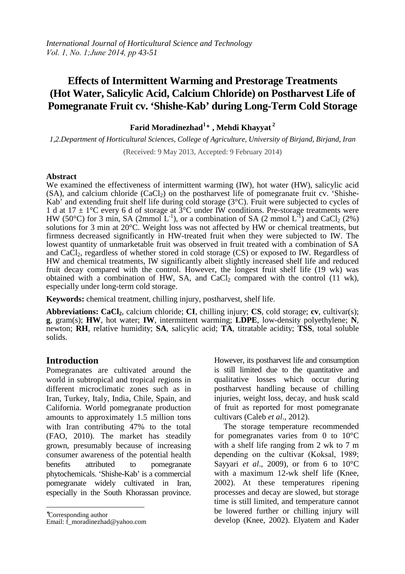# **Effects of Intermittent Warming and Prestorage Treatments (Hot Water, Salicylic Acid, Calcium Chloride) on Postharvest Life of Pomegranate Fruit cv. 'Shishe-Kab' during Long-Term Cold Storage**

# **Farid Moradinezhad<sup>1</sup> \* , Mehdi Khayyat<sup>2</sup>**

*1,2.Department of Horticultural Sciences, College of Agriculture, University of Birjand, Birjand, Iran*

(Received: 9 May 2013, Accepted: 9 February 2014)

#### **Abstract**

We examined the effectiveness of intermittent warming (IW), hot water (HW), salicylic acid  $(SA)$ , and calcium chloride  $(CaCl<sub>2</sub>)$  on the postharvest life of pomegranate fruit cv. 'Shishe-Kab' and extending fruit shelf life during cold storage (3°C). Fruit were subjected to cycles of 1 d at  $17 \pm 1$ °C every 6 d of storage at  $3$ °C under IW conditions. Pre-storage treatments were HW (50°C) for 3 min, SA (2mmol  $L^{-1}$ ), or a combination of SA (2 mmol  $L^{-1}$ ) and CaCl<sub>2</sub> (2%) solutions for 3 min at 20°C. Weight loss was not affected by HW or chemical treatments, but firmness decreased significantly in HW-treated fruit when they were subjected to IW. The lowest quantity of unmarketable fruit was observed in fruit treated with a combination of SA and CaCl<sub>2</sub>, regardless of whether stored in cold storage (CS) or exposed to IW. Regardless of HW and chemical treatments, IW significantly albeit slightly increased shelf life and reduced fruit decay compared with the control. However, the longest fruit shelf life (19 wk) was obtained with a combination of HW, SA, and CaCl<sub>2</sub> compared with the control  $(11 \text{ wk})$ , especially under long-term cold storage.

**Keywords:** chemical treatment, chilling injury, postharvest, shelf life.

**Abbreviations: CaCl2**, calcium chloride; **CI**, chilling injury; **CS**, cold storage; **cv**, cultivar(s); **g**, gram(s); **HW**, hot water; **IW**, intermittent warming; **LDPE**, low-density polyethylene; **N**, newton; **RH**, relative humidity; **SA**, salicylic acid; **TA**, titratable acidity; **TSS**, total soluble solids.

## **Introduction**

Pomegranates are cultivated around the world in subtropical and tropical regions in different microclimatic zones such as in Iran, Turkey, Italy, India, Chile, Spain, and California. World pomegranate production amounts to approximately 1.5 million tons with Iran contributing 47% to the total (FAO, 2010). The market has steadily grown, presumably because of increasing consumer awareness of the potential health benefits attributed to pomegranate phytochemicals. 'Shishe-Kab' is a commercial pomegranate widely cultivated in Iran, especially in the South Khorassan province.

<sup>∗</sup>Corresponding author

 $\overline{a}$ 

Email: f\_moradinezhad@yahoo.com

However, its postharvest life and consumption is still limited due to the quantitative and qualitative losses which occur during postharvest handling because of chilling injuries, weight loss, decay, and husk scald of fruit as reported for most pomegranate cultivars (Caleb *et al*., 2012).

The storage temperature recommended for pomegranates varies from 0 to 10°C with a shelf life ranging from 2 wk to 7 m depending on the cultivar (Koksal, 1989; Sayyari *et al*., 2009), or from 6 to 10°C with a maximum 12-wk shelf life (Knee, 2002). At these temperatures ripening processes and decay are slowed, but storage time is still limited, and temperature cannot be lowered further or chilling injury will develop (Knee, 2002). Elyatem and Kader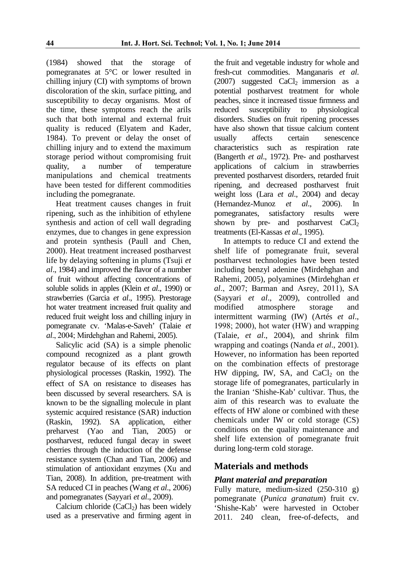(1984) showed that the storage of pomegranates at 5°C or lower resulted in chilling injury (CI) with symptoms of brown discoloration of the skin, surface pitting, and susceptibility to decay organisms. Most of the time, these symptoms reach the arils such that both internal and external fruit quality is reduced (Elyatem and Kader, 1984). To prevent or delay the onset of chilling injury and to extend the maximum storage period without compromising fruit quality, a number of temperature manipulations and chemical treatments have been tested for different commodities including the pomegranate.

Heat treatment causes changes in fruit ripening, such as the inhibition of ethylene synthesis and action of cell wall degrading enzymes, due to changes in gene expression and protein synthesis (Paull and Chen, 2000). Heat treatment increased postharvest life by delaying softening in plums (Tsuji *et al*., 1984) and improved the flavor of a number of fruit without affecting concentrations of soluble solids in apples (Klein *et al*., 1990) or strawberries (Garcia *et al*., 1995). Prestorage hot water treatment increased fruit quality and reduced fruit weight loss and chilling injury in pomegranate cv. 'Malas-e-Saveh' (Talaie *et al*., 2004; Mirdehghan and Rahemi, 2005).

Salicylic acid (SA) is a simple phenolic compound recognized as a plant growth regulator because of its effects on plant physiological processes (Raskin, 1992). The effect of SA on resistance to diseases has been discussed by several researchers. SA is known to be the signalling molecule in plant systemic acquired resistance (SAR) induction (Raskin, 1992). SA application, either preharvest (Yao and Tian, 2005) or postharvest, reduced fungal decay in sweet cherries through the induction of the defense resistance system (Chan and Tian, 2006) and stimulation of antioxidant enzymes (Xu and Tian, 2008). In addition, pre-treatment with SA reduced CI in peaches (Wang *et al*., 2006) and pomegranates (Sayyari *et al*., 2009).

Calcium chloride  $(CaCl<sub>2</sub>)$  has been widely used as a preservative and firming agent in

the fruit and vegetable industry for whole and fresh-cut commodities. Manganaris *et al*.  $(2007)$  suggested CaCl<sub>2</sub> immersion as a potential postharvest treatment for whole peaches, since it increased tissue firmness and reduced susceptibility to physiological disorders. Studies on fruit ripening processes have also shown that tissue calcium content usually affects certain senescence characteristics such as respiration rate (Bangerth *et al*., 1972). Pre- and postharvest applications of calcium in strawberries prevented postharvest disorders, retarded fruit ripening, and decreased postharvest fruit weight loss (Lara *et al*., 2004) and decay (Hernandez-Munoz *et al*., 2006). In pomegranates, satisfactory results were shown by pre- and postharvest  $CaCl<sub>2</sub>$ treatments (El-Kassas *et al*., 1995).

In attempts to reduce CI and extend the shelf life of pomegranate fruit, several postharvest technologies have been tested including benzyl adenine (Mirdehghan and Rahemi, 2005), polyamines (Mirdehghan *et al*., 2007; Barman and Asrey, 2011), SA (Sayyari *et al*., 2009), controlled and modified atmosphere storage and intermittent warming (IW) (Artés *et al*., 1998; 2000), hot water (HW) and wrapping (Talaie, *et al*., 2004), and shrink film wrapping and coatings (Nanda *et al*., 2001). However, no information has been reported on the combination effects of prestorage HW dipping, IW, SA, and  $CaCl<sub>2</sub>$  on the storage life of pomegranates, particularly in the Iranian 'Shishe-Kab' cultivar. Thus, the aim of this research was to evaluate the effects of HW alone or combined with these chemicals under IW or cold storage (CS) conditions on the quality maintenance and shelf life extension of pomegranate fruit during long-term cold storage.

## **Materials and methods**

## *Plant material and preparation*

Fully mature, medium-sized (250-310 g) pomegranate (*Punica granatum*) fruit cv. 'Shishe-Kab' were harvested in October 2011. 240 clean, free-of-defects, and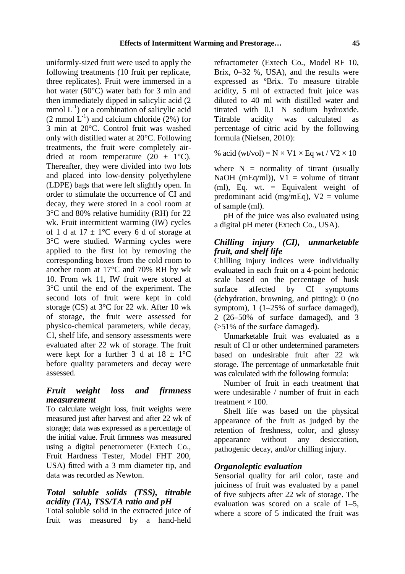uniformly-sized fruit were used to apply the following treatments (10 fruit per replicate, three replicates). Fruit were immersed in a hot water (50°C) water bath for 3 min and then immediately dipped in salicylic acid (2 mmol  $L^{-1}$ ) or a combination of salicylic acid  $(2 \text{ mmol } L^{-1})$  and calcium chloride  $(2\%)$  for 3 min at 20°C. Control fruit was washed only with distilled water at 20°C. Following treatments, the fruit were completely airdried at room temperature  $(20 \pm 1^{\circ}C)$ . Thereafter, they were divided into two lots and placed into low-density polyethylene (LDPE) bags that were left slightly open. In order to stimulate the occurrence of CI and decay, they were stored in a cool room at 3°C and 80% relative humidity (RH) for 22 wk. Fruit intermittent warming (IW) cycles of 1 d at  $17 \pm 1$ °C every 6 d of storage at 3°C were studied. Warming cycles were applied to the first lot by removing the corresponding boxes from the cold room to another room at 17°C and 70% RH by wk 10. From wk 11, IW fruit were stored at 3°C until the end of the experiment. The second lots of fruit were kept in cold storage (CS) at 3°C for 22 wk. After 10 wk of storage, the fruit were assessed for physico-chemical parameters, while decay, CI, shelf life, and sensory assessments were evaluated after 22 wk of storage. The fruit were kept for a further 3 d at  $18 \pm 1$ °C before quality parameters and decay were assessed.

## *Fruit weight loss and firmness measurement*

To calculate weight loss, fruit weights were measured just after harvest and after 22 wk of storage; data was expressed as a percentage of the initial value. Fruit firmness was measured using a digital penetrometer (Extech Co., Fruit Hardness Tester, Model FHT 200, USA) fitted with a 3 mm diameter tip, and data was recorded as Newton.

## *Total soluble solids (TSS), titrable acidity (TA), TSS/TA ratio and pH*

Total soluble solid in the extracted juice of fruit was measured by a hand-held refractometer (Extech Co., Model RF 10, Brix, 0–32 %, USA), and the results were expressed as ºBrix. To measure titrable acidity, 5 ml of extracted fruit juice was diluted to 40 ml with distilled water and titrated with 0.1 N sodium hydroxide. Titrable acidity was calculated as percentage of citric acid by the following formula (Nielsen, 2010):

% acid (wt/vol) =  $N \times V1 \times Eq$  wt /  $V2 \times 10$ 

where  $N =$  normality of titrant (usually NaOH (mEq/ml)),  $V1 =$  volume of titrant (ml), Eq. wt. = Equivalent weight of predominant acid (mg/mEq),  $V2 =$  volume of sample (ml).

pH of the juice was also evaluated using a digital pH meter (Extech Co., USA).

## *Chilling injury (CI), unmarketable fruit, and shelf life*

Chilling injury indices were individually evaluated in each fruit on a 4-point hedonic scale based on the percentage of husk surface affected by CI symptoms (dehydration, browning, and pitting): 0 (no symptom), 1 (1–25% of surface damaged), 2 (26–50% of surface damaged), and 3 (>51% of the surface damaged).

Unmarketable fruit was evaluated as a result of CI or other undetermined parameters based on undesirable fruit after 22 wk storage. The percentage of unmarketable fruit was calculated with the following formula:

Number of fruit in each treatment that were undesirable / number of fruit in each treatment  $\times$  100.

Shelf life was based on the physical appearance of the fruit as judged by the retention of freshness, color, and glossy appearance without any desiccation, pathogenic decay, and/or chilling injury.

## *Organoleptic evaluation*

Sensorial quality for aril color, taste and juiciness of fruit was evaluated by a panel of five subjects after 22 wk of storage. The evaluation was scored on a scale of 1–5, where a score of 5 indicated the fruit was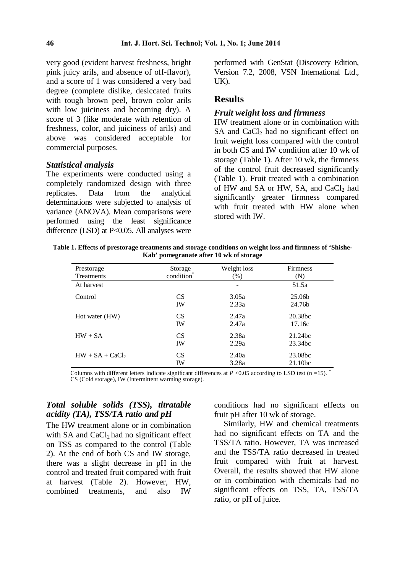very good (evident harvest freshness, bright pink juicy arils, and absence of off-flavor), and a score of 1 was considered a very bad degree (complete dislike, desiccated fruits with tough brown peel, brown color arils with low juiciness and becoming dry). A score of 3 (like moderate with retention of freshness, color, and juiciness of arils) and above was considered acceptable for commercial purposes.

#### *Statistical analysis*

The experiments were conducted using a completely randomized design with three replicates. Data from the analytical determinations were subjected to analysis of variance (ANOVA). Mean comparisons were performed using the least significance difference (LSD) at P<0.05. All analyses were performed with GenStat (Discovery Edition, Version 7.2, 2008, VSN International Ltd., UK).

## **Results**

#### *Fruit weight loss and firmness*

HW treatment alone or in combination with SA and CaCl<sub>2</sub> had no significant effect on fruit weight loss compared with the control in both CS and IW condition after 10 wk of storage (Table 1). After 10 wk, the firmness of the control fruit decreased significantly (Table 1). Fruit treated with a combination of HW and SA or HW, SA, and CaCl<sub>2</sub> had significantly greater firmness compared with fruit treated with HW alone when stored with IW.

**Table 1. Effects of prestorage treatments and storage conditions on weight loss and firmness of 'Shishe-Kab' pomegranate after 10 wk of storage** 

| Prestorage        | Storage   | Weight loss | <b>Firmness</b>     |
|-------------------|-----------|-------------|---------------------|
| Treatments        | condition | (% )        | (N)                 |
| At harvest        |           |             | 51.5a               |
| Control           | <b>CS</b> | 3.05a       | 25.06b              |
|                   | IW        | 2.33a       | 24.76b              |
| Hot water (HW)    | <b>CS</b> | 2.47a       | 20.38 <sub>bc</sub> |
|                   | IW        | 2.47a       | 17.16c              |
| $HW + SA$         | <b>CS</b> | 2.38a       | 21.24 <sub>bc</sub> |
|                   | IW        | 2.29a       | 23.34bc             |
| $HW + SA + CaCl2$ | <b>CS</b> | 2.40a       | 23.08bc             |
|                   | IW        | 3.28a       | 21.10 <sub>bc</sub> |

Columns with different letters indicate significant differences at  $P \le 0.05$  according to LSD test (n =15). CS (Cold storage), IW (Intermittent warming storage).

## *Total soluble solids (TSS), titratable acidity (TA), TSS/TA ratio and pH*

The HW treatment alone or in combination with SA and  $CaCl<sub>2</sub>$  had no significant effect on TSS as compared to the control (Table 2). At the end of both CS and IW storage, there was a slight decrease in pH in the control and treated fruit compared with fruit at harvest (Table 2). However, HW, combined treatments, and also IW

conditions had no significant effects on fruit pH after 10 wk of storage.

Similarly, HW and chemical treatments had no significant effects on TA and the TSS/TA ratio. However, TA was increased and the TSS/TA ratio decreased in treated fruit compared with fruit at harvest. Overall, the results showed that HW alone or in combination with chemicals had no significant effects on TSS, TA, TSS/TA ratio, or pH of juice.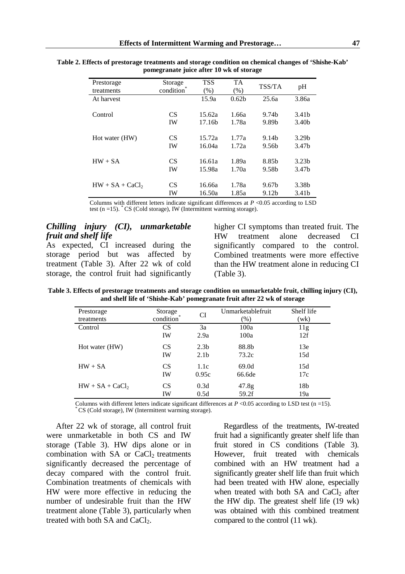| pomegranate juice after TO WK of storage |                      |                              |                   |                            |                            |
|------------------------------------------|----------------------|------------------------------|-------------------|----------------------------|----------------------------|
| Prestorage<br>treatments                 | Storage<br>condition | <b>TSS</b><br>$(\%)$         | <b>TA</b><br>(% ) | TSS/TA                     | pH                         |
| At harvest                               |                      | 15.9a                        | 0.62 <sub>b</sub> | 25.6a                      | 3.86a                      |
| Control                                  | CS<br>IW             | 15.62a<br>17.16 <sub>b</sub> | 1.66a<br>1.78a    | 9.74 <sub>b</sub><br>9.89b | 3.41b<br>3.40 <sub>b</sub> |
| Hot water (HW)                           | CS<br>IW             | 15.72a<br>16.04a             | 1.77a<br>1.72a    | 9.14b<br>9.56b             | 3.29 <sub>b</sub><br>3.47b |

IW 16.50a 1.85a 9.12b 3.41b

**Table 2. Effects of prestorage treatments and storage condition on chemical changes of 'Shishe-Kab' pomegranate juice after 10 wk of storage** 

Columns with different letters indicate significant differences at *P* <0.05 according to LSD test (n =15).  $^{\ast}$  CS (Cold storage), IW (Intermittent warming storage).

HW + SA CS 16.61a 1.89a 8.85b 3.23b IW 15.98a 1.70a 9.58b 3.47b

 $HW + SA + CaCl_2$  CS 16.66a 1.78a 9.67b 3.38b

#### *Chilling injury (CI), unmarketable fruit and shelf life*

As expected, CI increased during the storage period but was affected by treatment (Table 3). After 22 wk of cold storage, the control fruit had significantly higher CI symptoms than treated fruit. The HW treatment alone decreased CI significantly compared to the control. Combined treatments were more effective than the HW treatment alone in reducing CI (Table 3).

**Table 3. Effects of prestorage treatments and storage condition on unmarketable fruit, chilling injury (CI), and shelf life of 'Shishe-Kab' pomegranate fruit after 22 wk of storage** 

| Prestorage        | Storage         | CI               | Unmarketablefruit | Shelf life      |
|-------------------|-----------------|------------------|-------------------|-----------------|
| treatments        | condition       |                  | $(\%)$            | (wk)            |
| Control           | <b>CS</b>       | 3a               | 100a              | 11g             |
|                   | IW              | 2.9a             | 100a              | 12f             |
| Hot water (HW)    | CS              | 2.3 <sub>b</sub> | 88.8b             | 13e             |
|                   | <b>IW</b>       | 2.1 <sub>b</sub> | 73.2c             | 15d             |
| $HW + SA$         | CS <sup>-</sup> | 1.1c             | 69.0d             | 15d             |
|                   | IW              | 0.95c            | 66.6de            | 17c             |
| $HW + SA + CaCl2$ | CS              | 0.3d             | 47.8g             | 18 <sub>b</sub> |
|                   | IW              | 0.5d             | 59.2f             | 19a             |

Columns with different letters indicate significant differences at  $P \le 0.05$  according to LSD test (n =15). CS (Cold storage), IW (Intermittent warming storage).

After 22 wk of storage, all control fruit were unmarketable in both CS and IW storage (Table 3). HW dips alone or in combination with SA or CaCl<sub>2</sub> treatments significantly decreased the percentage of decay compared with the control fruit. Combination treatments of chemicals with HW were more effective in reducing the number of undesirable fruit than the HW treatment alone (Table 3), particularly when treated with both SA and CaCl<sub>2</sub>.

Regardless of the treatments, IW-treated fruit had a significantly greater shelf life than fruit stored in CS conditions (Table 3). However, fruit treated with chemicals combined with an HW treatment had a significantly greater shelf life than fruit which had been treated with HW alone, especially when treated with both  $SA$  and  $CaCl<sub>2</sub>$  after the HW dip. The greatest shelf life (19 wk) was obtained with this combined treatment compared to the control (11 wk).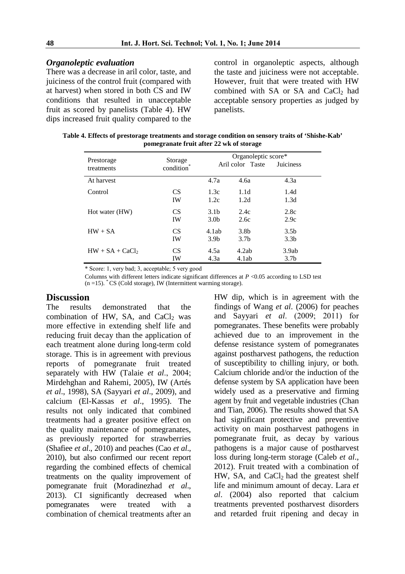#### *Organoleptic evaluation*

There was a decrease in aril color, taste, and juiciness of the control fruit (compared with at harvest) when stored in both CS and IW conditions that resulted in unacceptable fruit as scored by panelists (Table 4). HW dips increased fruit quality compared to the control in organoleptic aspects, although the taste and juiciness were not acceptable. However, fruit that were treated with HW combined with SA or SA and CaCl<sub>2</sub> had acceptable sensory properties as judged by panelists.

**Table 4. Effects of prestorage treatments and storage condition on sensory traits of 'Shishe-Kab' pomegranate fruit after 22 wk of storage** 

| Prestorage<br>treatments | Storage<br>condition | Organoleptic score*<br>Aril color Taste<br>Juiciness |                  |                  |
|--------------------------|----------------------|------------------------------------------------------|------------------|------------------|
| At harvest               |                      | 4.7a                                                 | 4.6a             | 4.3a             |
| Control                  | CS <sup>-</sup>      | 1.3c                                                 | 1.1d             | 1.4d             |
|                          | <b>IW</b>            | 1.2c                                                 | 1.2d             | 1.3d             |
| Hot water (HW)           | <b>CS</b>            | 3.1 <sub>b</sub>                                     | 2.4c             | 2.8c             |
|                          | IW                   | 3.0 <sub>b</sub>                                     | 2.6c             | 2.9c             |
| $HW + SA$                | <b>CS</b>            | 4.1ab                                                | 3.8 <sub>b</sub> | 3.5 <sub>b</sub> |
|                          | <b>IW</b>            | 3.9 <sub>b</sub>                                     | 3.7 <sub>b</sub> | 3.3 <sub>b</sub> |
| $HW + SA + CaCl2$        | <b>CS</b>            | 4.5a                                                 | 4.2ab            | 3.9ab            |
|                          | IW                   | 4.3a                                                 | 4.1ab            | 3.7 <sub>b</sub> |

\* Score: 1, very bad; 3, acceptable; 5 very good

Columns with different letters indicate significant differences at *P* <0.05 according to LSD test  $(n = 15)$ .  $^{\circ}$  CS (Cold storage), IW (Intermittent warming storage).

## **Discussion**

The results demonstrated that the combination of HW, SA, and  $CaCl<sub>2</sub>$  was more effective in extending shelf life and reducing fruit decay than the application of each treatment alone during long-term cold storage. This is in agreement with previous reports of pomegranate fruit treated separately with HW (Talaie *et al*., 2004; Mirdehghan and Rahemi, 2005), IW (Artés *et al*., 1998), SA (Sayyari *et al*., 2009), and calcium (El-Kassas *et al*., 1995). The results not only indicated that combined treatments had a greater positive effect on the quality maintenance of pomegranates, as previously reported for strawberries (Shafiee *et al*., 2010) and peaches (Cao *et al*., 2010), but also confirmed our recent report regarding the combined effects of chemical treatments on the quality improvement of pomegranate fruit (Moradinezhad *et al*., 2013). CI significantly decreased when pomegranates were treated with a combination of chemical treatments after an

HW dip, which is in agreement with the findings of Wang *et al*. (2006) for peaches and Sayyari *et al*. (2009; 2011) for pomegranates. These benefits were probably achieved due to an improvement in the defense resistance system of pomegranates against postharvest pathogens, the reduction of susceptibility to chilling injury, or both. Calcium chloride and/or the induction of the defense system by SA application have been widely used as a preservative and firming agent by fruit and vegetable industries (Chan and Tian, 2006). The results showed that SA had significant protective and preventive activity on main postharvest pathogens in pomegranate fruit, as decay by various pathogens is a major cause of postharvest loss during long-term storage (Caleb *et al*., 2012). Fruit treated with a combination of HW, SA, and CaCl<sub>2</sub> had the greatest shelf life and minimum amount of decay. Lara *et al*. (2004) also reported that calcium treatments prevented postharvest disorders and retarded fruit ripening and decay in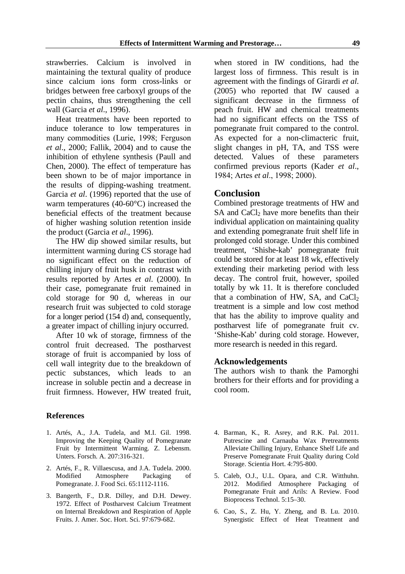strawberries. Calcium is involved in maintaining the textural quality of produce since calcium ions form cross-links or bridges between free carboxyl groups of the pectin chains, thus strengthening the cell wall (Garcia *et al*., 1996).

Heat treatments have been reported to induce tolerance to low temperatures in many commodities (Lurie, 1998; Ferguson *et al*., 2000; Fallik, 2004) and to cause the inhibition of ethylene synthesis (Paull and Chen, 2000). The effect of temperature has been shown to be of major importance in the results of dipping-washing treatment. Garcia *et al*. (1996) reported that the use of warm temperatures (40-60°C) increased the beneficial effects of the treatment because of higher washing solution retention inside the product (Garcia *et al*., 1996).

The HW dip showed similar results, but intermittent warming during CS storage had no significant effect on the reduction of chilling injury of fruit husk in contrast with results reported by Artes *et al*. (2000). In their case, pomegranate fruit remained in cold storage for 90 d, whereas in our research fruit was subjected to cold storage for a longer period (154 d) and, consequently, a greater impact of chilling injury occurred.

After 10 wk of storage, firmness of the control fruit decreased. The postharvest storage of fruit is accompanied by loss of cell wall integrity due to the breakdown of pectic substances, which leads to an increase in soluble pectin and a decrease in fruit firmness. However, HW treated fruit,

#### **References**

- 1. Artés, A., J.A. Tudela, and M.I. Gil. 1998. Improving the Keeping Quality of Pomegranate Fruit by Intermittent Warming. Z. Lebensm. Unters. Forsch. A. 207:316-321.
- 2. Artés, F., R. Villaescusa, and J.A. Tudela. 2000. Modified Atmosphere Packaging of Pomegranate. J. Food Sci. 65:1112-1116.
- 3. Bangerth, F., D.R. Dilley, and D.H. Dewey. 1972. Effect of Postharvest Calcium Treatment on Internal Breakdown and Respiration of Apple Fruits. J. Amer. Soc. Hort. Sci. 97:679-682.

when stored in IW conditions, had the largest loss of firmness. This result is in agreement with the findings of Girardi *et al*. (2005) who reported that IW caused a significant decrease in the firmness of peach fruit. HW and chemical treatments had no significant effects on the TSS of pomegranate fruit compared to the control. As expected for a non-climacteric fruit, slight changes in pH, TA, and TSS were detected. Values of these parameters confirmed previous reports (Kader *et al*., 1984; Artes *et al*., 1998; 2000).

### **Conclusion**

Combined prestorage treatments of HW and SA and CaCl<sub>2</sub> have more benefits than their individual application on maintaining quality and extending pomegranate fruit shelf life in prolonged cold storage. Under this combined treatment, 'Shishe-kab' pomegranate fruit could be stored for at least 18 wk, effectively extending their marketing period with less decay. The control fruit, however, spoiled totally by wk 11. It is therefore concluded that a combination of HW, SA, and  $CaCl<sub>2</sub>$ treatment is a simple and low cost method that has the ability to improve quality and postharvest life of pomegranate fruit cv. 'Shishe-Kab' during cold storage. However, more research is needed in this regard.

#### **Acknowledgements**

The authors wish to thank the Pamorghi brothers for their efforts and for providing a cool room.

- 4. Barman, K., R. Asrey, and R.K. Pal. 2011. Putrescine and Carnauba Wax Pretreatments Alleviate Chilling Injury, Enhance Shelf Life and Preserve Pomegranate Fruit Quality during Cold Storage. Scientia Hort. 4:795-800.
- 5. Caleb, O.J., U.L. Opara, and C.R. Witthuhn. 2012. Modified Atmosphere Packaging of Pomegranate Fruit and Arils: A Review. Food Bioprocess Technol. 5:15–30.
- 6. Cao, S., Z. Hu, Y. Zheng, and B. Lu. 2010. Synergistic Effect of Heat Treatment and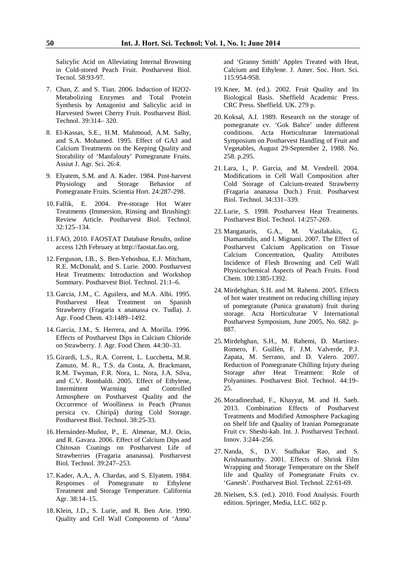Salicylic Acid on Alleviating Internal Browning in Cold-stored Peach Fruit. Postharvest Biol. Tecnol. 58:93-97.

- 7. Chan, Z. and S. Tian. 2006. Induction of H2O2- Metabolizing Enzymes and Total Protein Synthesis by Antagonist and Salicylic acid in Harvested Sweet Cherry Fruit. Postharvest Biol. Technol. 39:314– 320.
- 8. El-Kassas, S.E., H.M. Mahmoud, A.M. Salhy, and S.A. Mohamed. 1995. Effect of GA3 and Calcium Treatments on the Keeping Quality and Storability of 'Manfalouty' Pomegranate Fruits. Assiut J. Agr. Sci. 26:4.
- 9. Elyatem, S.M. and A. Kader. 1984. Post-harvest Physiology and Storage Behavior of Pomegranate Fruits. Scientia Hort. 24:287-298.
- 10. Fallik, E. 2004. Pre-storage Hot Water Treatments (Immersion, Rinsing and Brushing): Review Article. Postharvest Biol. Technol. 32:125–134.
- 11. FAO, 2010. FAOSTAT Database Results, online access 12th February at http://faostat.fao.org.
- 12. Ferguson, I.B., S. Ben-Yehoshua, E.J. Mitcham, R.E. McDonald, and S. Lurie. 2000. Postharvest Heat Treatments: Introduction and Workshop Summary. Postharvest Biol. Technol. 21:1–6.
- 13. Garcia, J.M., C. Aguilera, and M.A. Albi. 1995. Postharvest Heat Treatment on Spanish Strawberry (Fragaria x ananassa cv. Tudla). J. Agr. Food Chem. 43:1489–1492.
- 14. Garcia, J.M., S. Herrera, and A. Morilla. 1996. Effects of Postharvest Dips in Calcium Chloride on Strawberry. J. Agr. Food Chem. 44:30–33.
- 15. Girardi, L.S., R.A. Corrent, L. Lucchetta, M.R. Zanuzo, M. R., T.S. da Costa, A. Brackmann, R.M. Twyman, F.R. Nora, L. Nora, J.A. Silva, and C.V. Rombaldi. 2005. Effect of Ethylene, Intermittent Warming and Controlled Atmosphere on Postharvest Quality and the Occurrence of Woolliness in Peach (Prunus persica cv. Chiripá) during Cold Storage. Postharvest Biol. Technol. 38:25-33.
- 16. Hernández-Muñoz, P., E. Almenar, M.J. Ocio, and R. Gavara. 2006. Effect of Calcium Dips and Chitosan Coatings on Postharvest Life of Strawberries (Fragaria ananassa). Postharvest Biol. Technol. 39:247–253.
- 17. Kader, A.A., A. Chardas, and S. Elyatem. 1984. Responses of Pomegranate to Ethylene Treatment and Storage Temperature. California Agr. 38:14–15.
- 18. Klein, J.D., S. Lurie, and R. Ben Arie. 1990. Quality and Cell Wall Components of 'Anna'

and 'Granny Smith' Apples Treated with Heat, Calcium and Ethylene. J. Amer. Soc. Hort. Sci. 115:954-958.

- 19. Knee, M. (ed.). 2002. Fruit Quality and Its Biological Basis. Sheffield Academic Press. CRC Press. Sheffield. UK. 279 p.
- 20. Koksal, A.I. 1989. Research on the storage of pomegranate cv. 'Gok Bahce' under different conditions. Acta Horticulturae International Symposium on Postharvest Handling of Fruit and Vegetables, August 29-September 2, 1988. No. 258. p.295.
- 21. Lara, I., P. Garcia, and M. Vendrell. 2004. Modifications in Cell Wall Composition after Cold Storage of Calcium-treated Strawberry (Fragaria ananassa Duch.) Fruit. Postharvest Biol. Technol. 34:331–339.
- 22. Lurie, S. 1998. Postharvest Heat Treatments. Postharvest Biol. Technol. 14:257-269.
- 23. Manganaris, G.A., M. Vasilakakis, G. Diamantidis, and I. Mignani. 2007. The Effect of Postharvest Calcium Application on Tissue Calcium Concentration, Quality Attributes Incidence of Flesh Browning and Cell Wall Physicochemical Aspects of Peach Fruits. Food Chem. 100:1385-1392.
- 24. Mirdehghan, S.H. and M. Rahemi. 2005. Effects of hot water treatment on reducing chilling injury of pomegranate (Punica granatum) fruit during storage. Acta Horticulturae V International Postharvest Symposium, June 2005, No. 682. p-887.
- 25. Mirdehghan, S.H., M. Rahemi, D. Martínez-Romero, F. Guillén, F. J.M. Valverde, P.J. Zapata, M. Serrano, and D. Valero. 2007. Reduction of Pomegranate Chilling Injury during Storage after Heat Treatment: Role of Polyamines. Postharvest Biol. Technol. 44:19– 25.
- 26. Moradinezhad, F., Khayyat, M. and H. Saeb. 2013. Combination Effects of Postharvest Treatments and Modified Atmosphere Packaging on Shelf life and Quality of Iranian Pomegranate Fruit cv. Sheshi-kab. Int. J. Postharvest Technol. Innov. 3:244–256.
- 27. Nanda, S., D.V. Sudhakar Rao, and S. Krishnamurthy. 2001. Effects of Shrink Film Wrapping and Storage Temperature on the Shelf life and Quality of Pomegranate Fruits cv. 'Ganesh'. Postharvest Biol. Technol. 22:61-69.
- 28. Nielsen, S.S. (ed.). 2010. Food Analysis. Fourth edition. Springer, Media, LLC. 602 p.